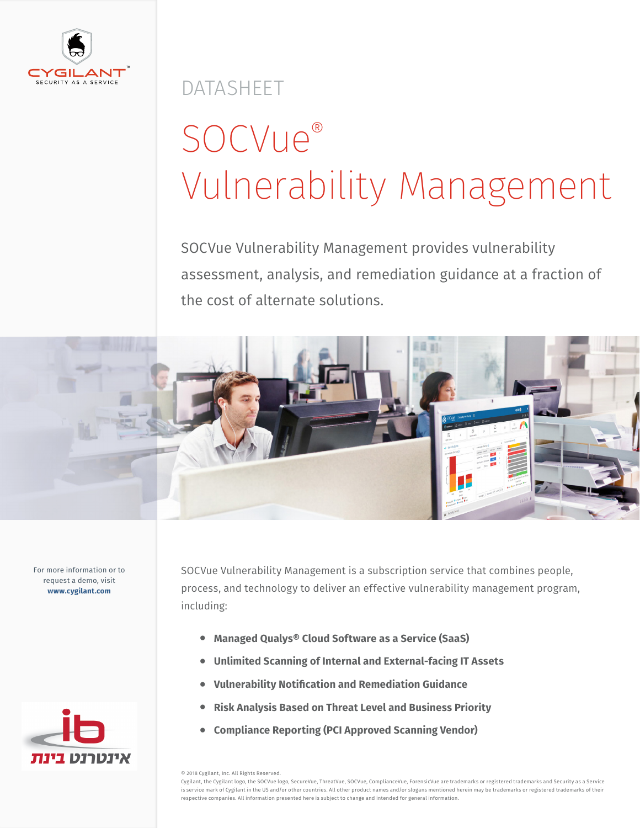

DATASHEET

# SOCVue® Vulnerability Management

SOCVue Vulnerability Management provides vulnerability assessment, analysis, and remediation guidance at a fraction of the cost of alternate solutions.



For more information or to request a demo, visit **www.cygilant.com**



SOCVue Vulnerability Management is a subscription service that combines people, process, and technology to deliver an effective vulnerability management program, including:

- **• Managed Qualys® Cloud Software as a Service (SaaS)**
- **• Unlimited Scanning of Internal and External-facing IT Assets**
- **• Vulnerability Notification and Remediation Guidance**
- **• Risk Analysis Based on Threat Level and Business Priority**
- **• Compliance Reporting (PCI Approved Scanning Vendor)**

© 2018 Cygilant, Inc. All Rights Reserved.

Cygilant, the Cygilant logo, the SOCVue logo, SecureVue, ThreatVue, SOCVue, ComplianceVue, ForensicVue are trademarks or registered trademarks and Security as a Service is service mark of Cygilant in the US and/or other countries. All other product names and/or slogans mentioned herein may be trademarks or registered trademarks of their respective companies. All information presented here is subject to change and intended for general information.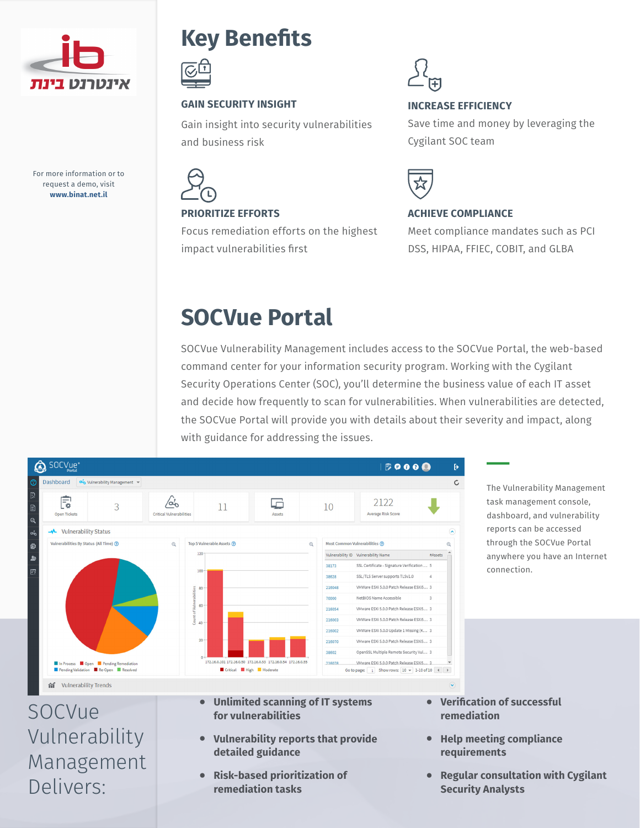

For more information or to request a demo, visit **www.binat.net.il**

Management

Delivers:

### **Key Benefits**



#### **GAIN SECURITY INSIGHT**

Gain insight into security vulnerabilities and business risk



#### **PRIORITIZE EFFORTS**

Focus remediation efforts on the highest impact vulnerabilities first



#### **INCREASE EFFICIENCY**

Save time and money by leveraging the Cygilant SOC team



#### **ACHIEVE COMPLIANCE**

Meet compliance mandates such as PCI DSS, HIPAA, FFIEC, COBIT, and GLBA

### **SOCVue Portal**

SOCVue Vulnerability Management includes access to the SOCVue Portal, the web-based command center for your information security program. Working with the Cygilant Security Operations Center (SOC), you'll determine the business value of each IT asset and decide how frequently to scan for vulnerabilities. When vulnerabilities are detected, the SOCVue Portal will provide you with details about their severity and impact, along with guidance for addressing the issues.



**detailed guidance**

**• Risk-based prioritization of remediation tasks**

**• Verification of successful remediation**

connection.

- **• Help meeting compliance requirements**
- **• Regular consultation with Cygilant Security Analysts**

The Vulnerability Management task management console, dashboard, and vulnerability reports can be accessed through the SOCVue Portal anywhere you have an Internet